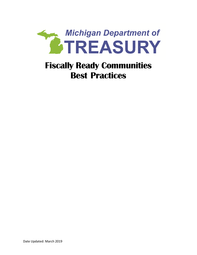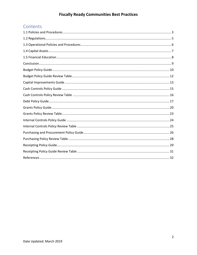# Contents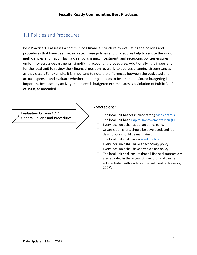### <span id="page-2-0"></span>1.1 Policies and Procedures

Best Practice 1.1 assesses a community's financial structure by evaluating the policies and procedures that have been set in place. These policies and procedures help to reduce the risk of inefficiencies and fraud. Having clear purchasing, investment, and receipting policies ensures uniformity across departments, simplifying accounting procedures. Additionally, it is important for the local unit to review their financial position regularly to address changing circumstances as they occur. For example, it is important to note the differences between the budgeted and actual expenses and evaluate whether the budget needs to be amended. Sound budgeting is important because any activity that exceeds budgeted expenditures is a violation of Public Act 2 of 1968, as amended.



2007).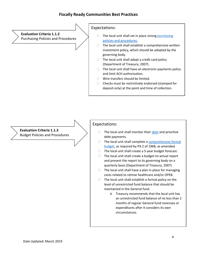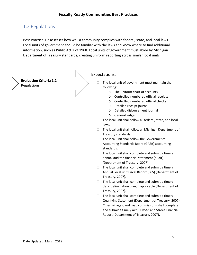# <span id="page-4-0"></span>1.2 Regulations

Best Practice 1.2 assesses how well a community complies with federal, state, and local laws. Local units of government should be familiar with the laws and know where to find additional information, such as Public Act 2 of 1968. Local units of government must abide by Michigan Department of Treasury standards, creating uniform reporting across similar local units.

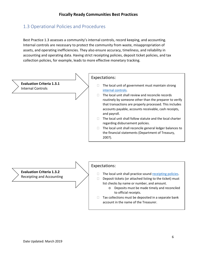# <span id="page-5-0"></span>1.3 Operational Policies and Procedures

Best Practice 1.3 assesses a community's internal controls, record keeping, and accounting. Internal controls are necessary to protect the community from waste, misappropriation of assets, and operating inefficiencies. They also ensure accuracy, timeliness, and reliability in accounting and operating data. Having strict receipting policies, deposit ticket policies, and tax collection policies, for example, leads to more effective monetary tracking.

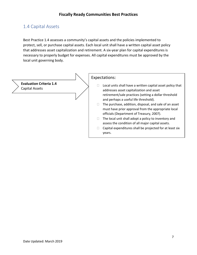# <span id="page-6-0"></span>1.4 Capital Assets

Best Practice 1.4 assesses a community's capital assets and the policies implemented to protect, sell, or purchase capital assets. Each local unit shall have a written capital asset policy that addresses asset capitalization and retirement. A six-year plan for capital expenditures is necessary to properly budget for expenses. All capital expenditures must be approved by the local unit governing body.

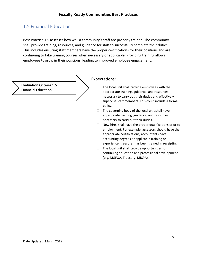# <span id="page-7-0"></span>1.5 Financial Education

Best Practice 1.5 assesses how well a community's staff are properly trained. The community shall provide training, resources, and guidance for staff to successfully complete their duties. This includes ensuring staff members have the proper certifications for their positions and are continuing to take training courses when necessary or applicable. Providing training allows employees to grow in their positions, leading to improved employee engagement.

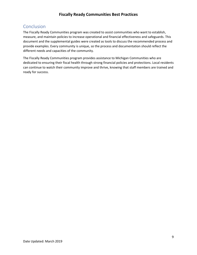# <span id="page-8-0"></span>Conclusion

The Fiscally Ready Communities program was created to assist communities who want to establish, measure, and maintain policies to increase operational and financial effectiveness and safeguards. This document and the supplemental guides were created as tools to discuss the recommended process and provide examples. Every community is unique, so the process and documentation should reflect the different needs and capacities of the community.

The Fiscally Ready Communities program provides assistance to Michigan Communities who are dedicated to ensuring their fiscal health through strong financial policies and protections. Local residents can continue to watch their community improve and thrive, knowing that staff members are trained and ready for success.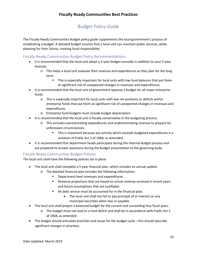# Budget Policy Guide

<span id="page-9-1"></span><span id="page-9-0"></span>The Fiscally Ready Communities Budget policy guide supplements the local government's process of establishing a budget. A detailed budget ensures that a local unit can maintain public services, while planning for their future, creating fiscal responsibility.

#### Fiscally Ready Communities Budget Policy Recommendations

- It is recommended that the local unit adopt a 2-year budget annually in addition to your 5-year forecast.
	- $\circ$  This helps a local unit evaluate their revenue and expenditures as they plan for the long term.
		- This is especially important for local units with low fund balances that put them at significant risk of unexpected changes in revenues and expenditures.
- It is recommended that the local unit of government approve a budget for all major enterprise funds.
	- o This is especially important for local units with low net positions or deficits within enterprise funds that put them at significant risk of unexpected changes in revenues and expenditures.
	- o Enterprise fund budgets must include budget depreciation.
- It is recommended that the local unit is fiscally conservative in the budgeting process.
	- o This includes overestimating expenditures and underestimating revenue to prepare for unforeseen circumstances.
		- This is important because any activity which exceeds budgeted expenditures is a violation of Public Act 2 of 1968, as amended.
- It is recommended that department heads participate during the internal budget process and are prepared to answer questions during the budget presentation to the governing body.

#### Fiscally Ready Communities Budget Policies

The local unit shall have the following policies set in place:

- The local unit shall complete a 5-year financial plan, which includes an annual update.
	- o The detailed financial plan includes the following information:
		- **Partment level revenues and expenditures.**
		- Revenue projections that are based on actual revenue received in recent years and future assumptions that are justifiable.
		- All debt service must be accounted for in the financial plan.
			- The local unit shall not fail to pay principal of or interest on any municipal securities when due or payable.
- The local unit shall project a balanced budget for the current and succeeding four fiscal years.
	- o The budget must not lead to a fund deficit and shall be in accordance with Public Act 2 of 1968, as amended.
- The budget should articulate priorities and issues for the budget cycle this should describe significant changes in priorities.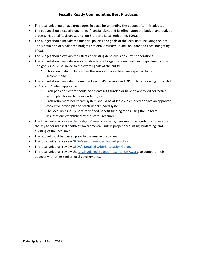- The local unit should have procedures in place for amending the budget after it is adopted.
- The budget should explain long range financial plans and its effect upon the budget and budget process (National Advisory Council on State and Local Budgeting, 1998).
- The budget should include the financial policies and goals of the local unit, including the local unit's definition of a balanced budget (National Advisory Council on State and Local Budgeting, 1998).
- The budget should explain the effects of existing debt levels on current operations.
- The budget should include goals and objectives of organizational units and departments. The unit goals should be linked to the overall goals of the entity.
	- o This should also include when the goals and objectives are expected to be accomplished.
- The budget should include funding the local unit's pension and OPEB plans following Public Act 202 of 2017, when applicable.
	- o Each pension system should be at least 60% funded or have an approved corrective action plan for each underfunded system.
	- o Each retirement healthcare system should be at least 40% funded or have an approved corrective action plan for each underfunded system.
	- o The local unit shall report its defined benefit funding ratios using the uniform assumptions established by the state Treasurer.
- The local unit shall review [the Budget Manual](https://www.michigan.gov/documents/UniformBudgetManual_16634_7.pdf) created by Treasury on a regular basis because the key to sound fiscal health of governmental units is proper accounting, budgeting, and auditing of the local unit.
- The budget must be passed prior to the ensuing fiscal year.
- The local unit shall review [GFOA's recommended budget practices.](https://www.gfoa.org/sites/default/files/RecommendedBudgetPractices.pdf)
- The local unit shall review [GFOA's Detailed Criteria Location Guide.](http://www.gfoa.org/sites/default/files/BudgetDetailedCriteriaLocationGuideFY2015.pdf)
- The local unit shall review th[e Distinguished Budget Presentation](http://www.gfoa.org/award-programs/distinguished-budget-presentation-award-program-budget-awards-program) Award, to compare their budgets with other similar local governments.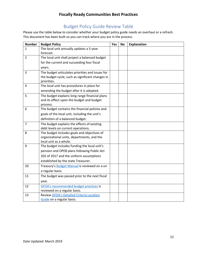# Budget Policy Guide Review Table

<span id="page-11-0"></span>Please use the table below to consider whether your budget policy guide needs an overhaul or a refresh. This document has been built so you can track where you are in the process.

| <b>Number</b>  | <b>Budget Policy</b>                                                 | Yes | <b>No</b> | <b>Explanation</b> |
|----------------|----------------------------------------------------------------------|-----|-----------|--------------------|
| $\mathbf{1}$   | The local unit annually updates a 5-year                             |     |           |                    |
|                | forecast.                                                            |     |           |                    |
| $\overline{2}$ | The local unit shall project a balanced budget                       |     |           |                    |
|                | for the current and succeeding four fiscal                           |     |           |                    |
|                | years.                                                               |     |           |                    |
| 3              | The budget articulates priorities and issues for                     |     |           |                    |
|                | the budget cycle, such as significant changes in                     |     |           |                    |
|                | priorities.                                                          |     |           |                    |
| 4              | The local unit has procedures in place for                           |     |           |                    |
|                | amending the budget after it is adopted.                             |     |           |                    |
| 5              | The budget explains long range financial plans                       |     |           |                    |
|                | and its effect upon the budget and budget                            |     |           |                    |
|                | process.                                                             |     |           |                    |
| 6              | The budget contains the financial policies and                       |     |           |                    |
|                | goals of the local unit, including the unit's                        |     |           |                    |
|                | definition of a balanced budget.                                     |     |           |                    |
| 7              | The budget explains the effects of existing                          |     |           |                    |
|                | debt levels on current operations.                                   |     |           |                    |
| 8              | The budget includes goals and objectives of                          |     |           |                    |
|                | organizational units, departments, and the<br>local unit as a whole. |     |           |                    |
| 9              | The budget includes funding the local unit's                         |     |           |                    |
|                | pension and OPEB plans following Public Act                          |     |           |                    |
|                | 202 of 2017 and the uniform assumptions                              |     |           |                    |
|                | established by the state Treasurer.                                  |     |           |                    |
| 10             |                                                                      |     |           |                    |
|                | Treasury's <b>Budget Manual</b> is reviewed on a on                  |     |           |                    |
|                | a regular basis.                                                     |     |           |                    |
| 11             | The budget was passed prior to the next fiscal                       |     |           |                    |
|                | year.                                                                |     |           |                    |
| 12             | GFOA's recommended budget practices is                               |     |           |                    |
|                | reviewed on a regular basis.                                         |     |           |                    |
| 13             | Review GFOA's Detailed Criteria Location                             |     |           |                    |
|                | Guide on a regular basis.                                            |     |           |                    |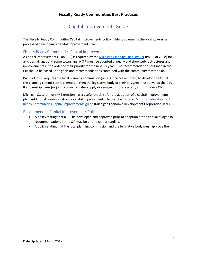### Capital Improvements Guide

<span id="page-12-1"></span><span id="page-12-0"></span>The Fiscally Ready Communities Capital Improvements policy guide supplements the local government's process of developing a Capital Improvements Plan.

#### Fiscally Ready Communities Capital Improvements

A Capital Improvements Plan (CIP) is required by the [Michigan Planning Enabling Act](http://www.legislature.mi.gov/documents/mcl/pdf/mcl-Act-33-of-2008.pdf) (PA 33 of 2008) for all cities, villages and some townships. A CIP must be adopted annually and show public structures and improvements in the order of their priority for the next six years. The recommendations outlined in the CIP should be based upon goals and recommendations contained with the community master plan.

PA 33 of 2008 requires the local planning commission (unless locally exempted) to develop the CIP. If the planning commission is exempted, then the legislative body or their designee must develop the CIP. If a township owns (or jointly owns) a water supply or sewage disposal system, it must have a CIP.

Michigan State University Extension has a useful [checklist](https://www.canr.msu.edu/uploads/resources/pdfs/cklist1j_cip.pdf) for the adoption of a capital improvements plan. Additional resources about a capital improvements plan can be found a[t MEDC's Redevelopment](https://www.miplace.org/globalassets/media-documents/rrc/rrc-best-practices.pdf)  Ready Communities Capital Improvements guide (Michigan Economic Development Corporation, n.d.).

#### Recommended Capital Improvements Policies

- A policy stating that a CIP be developed and approved prior to adoption of the annual budget so recommendations in the CIP may be prioritized for funding.
- A policy stating that the local planning commission and the legislative body must approve the CIP.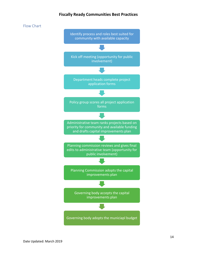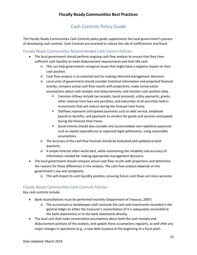Cash Controls Policy Guide

<span id="page-14-1"></span><span id="page-14-0"></span>The Fiscally Ready Communities Cash Controls policy guide supplements the local government's process of developing cash controls. Cash Controls are essential to reduce the risk of inefficiencies and fraud.

Fiscally Ready Communities Recommended Cash Control Policies:

- The local government should perform ongoing cash flow analysis to ensure that they have sufficient cash liquidity to meet disbursement requirements and limit idle cash.
	- o This can help governments recognize issues that might have a negative impact on their cash position.
	- o Cash flow analysis is an essential tool for making informed management decisions.
	- o Local units of government should consider historical information and projected financial activity, compare actual cash flow results with projections, make conservative assumptions about cash receipts and disbursements, and monitor cash position daily.
		- Common inflows include tax receipts, bond proceeds, utility payments, grants, other revenue from fees and penalties, and maturities of all securities held in investments that will mature during the forecast time frame.
		- Outflows represent anticipated payments such as debt service, employee payroll or benefits, and payments to vendors for goods and services anticipated during the forecast time frame.
		- Governments should also consider and accommodate non-repetitive payments such as capital expenditures or expected legal settlements, using reasonable assumptions.
	- o The accuracy of the cash flow forecast should be evaluated and updated at least quarterly.
	- o A simple forecast often works best, while maintaining the reliability and accuracy of information needed for making appropriate management decisions.
- The local government should compare actual cash flow results with projections and determine the reasons for those differences in the analysis. The cash flow analysis depends on the government's size and complexity.
	- o This will impact its cash liquidity position, ensuring future cash flows are more accurate.

#### Fiscally Ready Communities Cash Controls Policies:

Key cash controls include:

- Bank reconciliations must be performed monthly (Department of Treasury, 2007).
	- o The accountant or bookkeeper shall reconcile the cash and investments recorded in the general ledger to either the treasurer's reconciliation (if it is adequately reconciled to the bank statements) or to the bank statements directly.
- The local unit shall make conservative assumptions about both the cash receipts and disbursement portions of the analysis, and update these assumptions regularly, as well after any major changes in operations (e.g., a new debt issuance at the beginning of a fiscal year).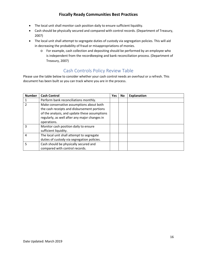- The local unit shall monitor cash position daily to ensure sufficient liquidity.
- Cash should be physically secured and compared with control records. (Department of Treasury, 2007)
- The local unit shall attempt to segregate duties of custody via segregation policies. This will aid in decreasing the probability of fraud or misappropriations of monies.
	- o For example, cash collection and depositing should be performed by an employee who is independent from the recordkeeping and bank reconciliation process. (Department of Treasury, 2007)

# Cash Controls Policy Review Table

<span id="page-15-0"></span>Please use the table below to consider whether your cash control needs an overhaul or a refresh. This document has been built so you can track where you are in the process.

| <b>Number</b> | <b>Cash Control</b>                                                                                                                                                                                      | <b>Yes</b> | No | <b>Explanation</b> |
|---------------|----------------------------------------------------------------------------------------------------------------------------------------------------------------------------------------------------------|------------|----|--------------------|
|               | Perform bank reconciliations monthly.                                                                                                                                                                    |            |    |                    |
| 2             | Make conservative assumptions about both<br>the cash receipts and disbursement portions<br>of the analysis, and update these assumptions<br>regularly, as well after any major changes in<br>operations. |            |    |                    |
|               | Monitor cash position daily to ensure<br>sufficient liquidity.                                                                                                                                           |            |    |                    |
| 4             | The local unit shall attempt to segregate<br>duties of custody via segregation policies.                                                                                                                 |            |    |                    |
| 5             | Cash should be physically secured and<br>compared with control records.                                                                                                                                  |            |    |                    |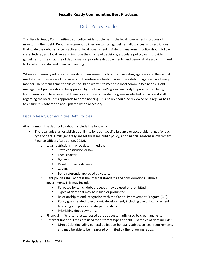# Debt Policy Guide

<span id="page-16-1"></span><span id="page-16-0"></span>The Fiscally Ready Communities debt policy guide supplements the local government's process of monitoring their debt. Debt management policies are written guidelines, allowances, and restrictions that guide the debt issuance practices of local governments. A debt management policy should follow state, federal, and local laws and improve the quality of decisions, articulate policy goals, provide guidelines for the structure of debt issuance, prioritize debt payments, and demonstrate a commitment to long-term capital and financial planning.

When a community adheres to their debt management policy, it shows rating agencies and the capital markets that they are well managed and therefore are likely to meet their debt obligations in a timely manner. Debt management policies should be written to meet the local community's needs. Debt management policies should be approved by the local unit's governing body to provide credibility, transparency and to ensure that there is a common understanding among elected officials and staff regarding the local unit's approach to debt financing. This policy should be reviewed on a regular basis to ensure it is adhered to and updated when necessary.

#### Fiscally Ready Communities Debt Policies

At a minimum the debt policy should include the following:

- The local unit shall establish debt limits for each specific issuance or acceptable ranges for each type of debt. Limits generally are set for legal, public policy, and financial reasons (Government Finance Officers Association, 2012).
	- o Legal restrictions may be determined by:
		- **State constitution or law.**
		- **Local charter.**
		- **By-laws.**
		- Resolution or ordinance.
		- Covenant.
		- Bond referenda approved by voters.
	- o Debt policies shall address the internal standards and considerations within a government. This may include:
		- **Purposes for which debt proceeds may be used or prohibited.**
		- **Types of debt that may be issued or prohibited.**
		- Relationship to and integration with the Capital Improvement Program (CIP).
		- Policy goals related to economic development, including use of tax increment financing and public-private partnerships.
		- Prioritizing debt payments.
	- o Financial limits often are expressed as ratios customarily used by credit analysts.
	- o Different financial limits are used for different types of debt. Examples of debt include:
		- Direct Debt (including general obligation bonds) is subject to legal requirements and may be able to be measured or limited by the following ratios: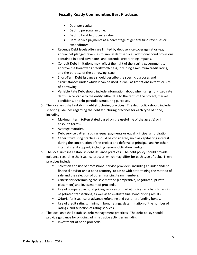- Debt per capita.
- Debt to personal income.
- Debt to taxable property value.
- Debt service payments as a percentage of general fund revenues or expenditures.
- Revenue Debt levels often are limited by debt service coverage ratios (e.g., annual net pledged revenues to annual debt service), additional bond provisions contained in bond covenants, and potential credit rating impacts.
- **EXECONDUITE:** Conduit Debt limitations may reflect the right of the issuing government to approve the borrower's creditworthiness, including a minimum credit rating, and the purpose of the borrowing issue.
- Short-Term Debt Issuance should describe the specific purposes and circumstances under which it can be used, as well as limitations in term or size of borrowing.
- Variable Rate Debt should include information about when using non-fixed rate debt is acceptable to the entity either due to the term of the project, market conditions, or debt portfolio structuring purposes.
- o The local unit shall establish debt structuring practices. The debt policy should include specific guidelines regarding the debt structuring practices for each type of bond, including:
	- Maximum term (often stated based on the useful life of the asset(s) or in absolute terms).
	- **Average maturity.**
	- Debt service pattern such as equal payments or equal principal amortization.
	- Other structuring practices should be considered, such as capitalizing interest during the construction of the project and deferral of principal, and/or other internal credit support, including general obligation pledges.
- o The local unit shall establish debt issuance practices. The debt policy should provide guidance regarding the issuance process, which may differ for each type of debt. These practices include:
	- **Selection and use of professional service providers, including an independent** financial advisor and a bond attorney, to assist with determining the method of sale and the selection of other financing team members.
	- Criteria for determining the sale method (competitive, negotiated, private placement) and investment of proceeds.
	- Use of comparative bond pricing services or market indices as a benchmark in negotiated transactions, as well as to evaluate final bond pricing results.
	- **EXECT:** Criteria for issuance of advance refunding and current refunding bonds.
	- Use of credit ratings, minimum bond ratings, determination of the number of ratings, and selection of rating services.
- o The local unit shall establish debt management practices. The debt policy should provide guidance for ongoing administrative activities including:
	- **Investment of bond proceeds.**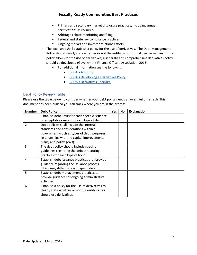- **Primary and secondary market disclosure practices, including annual** certifications as required.
- **•** Arbitrage rebate monitoring and filing.
- Federal and state law compliance practices.
- **•** Ongoing market and investor relations efforts.
- o The local unit shall establish a policy for the use of derivatives. The Debt Management Policy should clearly state whether or not the entity can or should use derivatives. If the policy allows for the use of derivatives, a separate and comprehensive derivatives policy should be developed (Government Finance Officers Association, 2015).
	- **For additional information see the following:** 
		- [GFOA's Advisory.](https://www.gfoa.org/sites/default/files/GFOA_usedebtderivativesBP.pdf)
		- [GFOA's Developing a Derivatives Policy.](https://www.gfoa.org/debt-management-policy)
		- [GFOA's Derivatives Checklist.](https://www.gfoa.org/sites/default/files/GFOA_usedebtderivativesBP.pdf)

#### Debt Policy Review Table

Please use the table below to consider whether your debt policy needs an overhaul or refresh. This document has been built so you can track where you are in the process.

| <b>Number</b> | <b>Debt Policy</b>                               | Yes | No | <b>Explanation</b> |
|---------------|--------------------------------------------------|-----|----|--------------------|
| 1             | Establish debt limits for each specific issuance |     |    |                    |
|               | or acceptable ranges for each type of debt.      |     |    |                    |
| 2             | Debt policies shall include the internal         |     |    |                    |
|               | standards and considerations within a            |     |    |                    |
|               | government (such as types of debt, purposes,     |     |    |                    |
|               | relationships with the capital improvements      |     |    |                    |
|               | plans, and policy goals).                        |     |    |                    |
| 3             | The debt policy should include specific          |     |    |                    |
|               | guidelines regarding the debt structuring        |     |    |                    |
|               | practices for each type of bond.                 |     |    |                    |
| 4             | Establish debt issuance practices that provide   |     |    |                    |
|               | guidance regarding the issuance process,         |     |    |                    |
|               | which may differ for each type of debt.          |     |    |                    |
| 5             | Establish debt management practices to           |     |    |                    |
|               | provide guidance for ongoing administrative      |     |    |                    |
|               | activities.                                      |     |    |                    |
| 6             | Establish a policy for the use of derivatives to |     |    |                    |
|               | clearly state whether or not the entity can or   |     |    |                    |
|               | should use derivatives.                          |     |    |                    |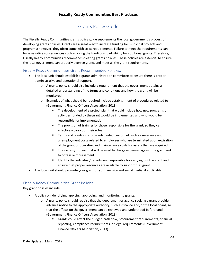# Grants Policy Guide

<span id="page-19-1"></span><span id="page-19-0"></span>The Fiscally Ready Communities grants policy guide supplements the local government's process of developing grants policies. Grants are a great way to increase funding for municipal projects and programs; however, they often come with strict requirements. Failure to meet the requirements can have negative consequences such as losing the funding and eligibility for additional grants. Therefore, Fiscally Ready Communities recommends creating grants policies. These policies are essential to ensure the local government can properly oversee grants and meet all the grant requirements.

#### Fiscally Ready Communities Grant Recommended Policies:

- The local unit should establish a grants administration committee to ensure there is proper administrative and operational support.
	- o A grants policy should also include a requirement that the government obtains a detailed understanding of the terms and conditions and how the grant will be monitored.
	- o Examples of what should be required include establishment of procedures related to (Government Finance Officers Association, 2013):
		- **The development of a project plan that would include how new programs or** activities funded by the grant would be implemented and who would be responsible for implementation.
		- **The provision of training for those responsible for the grant, so they can** effectively carry out their roles.
		- Terms and conditions for grant-funded personnel, such as severance and unemployment costs related to employees who are terminated upon expiration of the grant or operating and maintenance costs for assets that are acquired.
		- **The system/process that will be used to charge expenses against the grant and** to obtain reimbursement.
		- Identify the individual/department responsible for carrying out the grant and ensure that proper resources are available to support that grant.
- The local unit should promote your grant on your website and social media, if applicable.

#### Fiscally Ready Communities Grant Policies

Key grant policies include:

- A policy on identifying, applying, approving, and monitoring to grants.
	- o A grants policy should require that the department or agency seeking a grant provide advance notice to the appropriate authority, such as finance and/or the local board, so that the effects on the government can be reviewed and understood beforehand (Government Finance Officers Association, 2013).
		- Grants could affect the budget, cash flow, procurement requirements, financial reporting, compliance requirements, or legal requirements (Government Finance Officers Association, 2013).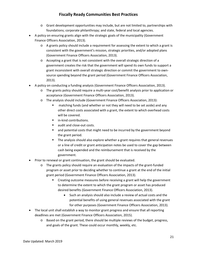- $\circ$  Grant development opportunities may include, but are not limited to, partnerships with foundations; corporate philanthropy; and state, federal and local agencies.
- A policy on ensuring grants align with the strategic goals of the municipality (Government Finance Officers Association, 2013).
	- o A grants policy should include a requirement for assessing the extent to which a grant is consistent with the government's mission, strategic priorities, and/or adopted plans (Government Finance Officers Association, 2013).
	- $\circ$  Accepting a grant that is not consistent with the overall strategic direction of a government creates the risk that the government will spend its own funds to support a grant inconsistent with overall strategic direction or commit the government to ownsource spending beyond the grant period (Government Finance Officers Association, 2013).
- A policy on conducting a funding analysis (Government Finance Officers Association, 2013).
	- o The grants policy should require a multi-year cost/benefit analysis prior to application or acceptance (Government Finance Officers Association, 2013).
	- o The analysis should include (Government Finance Officers Association, 2013):
		- matching funds (and whether or not they will need to be set aside) and any other direct costs associated with a grant, the extent to which overhead costs will be covered.
		- **n** in-kind contributions.
		- audit and close-out costs.
		- and potential costs that might need to be incurred by the government beyond the grant period.
		- The analysis should also explore whether a grant requires that general revenues or a line of credit or grant anticipation notes be used to cover the gap between cash being expended and the reimbursement that is received by the government.
- Prior to renewal or grant continuation, the grant should be evaluated.
	- $\circ$  The grants policy should require an evaluation of the impacts of the grant-funded program or asset prior to deciding whether to continue a grant at the end of the initial grant period (Government Finance Officers Association, 2013).
		- Creating outcome measures before receiving a grant will help the government to determine the extent to which the grant program or asset has produced desired benefits (Government Finance Officers Association, 2013).
			- Such an analysis should also include a review of actual costs and the potential benefits of using general revenues associated with the grant for other purposes (Government Finance Officers Association, 2013).
- The local unit shall establish a way to monitor grant progress and ensure that all reporting deadlines are met (Government Finance Officers Association, 2015).
	- o Based on the grant period, there should be multiple reviews of the budget, progress, and goals of the grant. These could occur monthly, weekly, etc.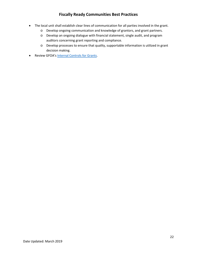- The local unit shall establish clear lines of communication for all parties involved in the grant.
	- o Develop ongoing communication and knowledge of grantors, and grant partners.
	- o Develop an ongoing dialogue with financial statement, single audit, and program auditors concerning grant reporting and compliance.
	- o Develop processes to ensure that quality, supportable information is utilized in grant decision making.
- Review GFOA's [Internal Controls for Grants.](http://www.gfoa.org/internal-control-grants)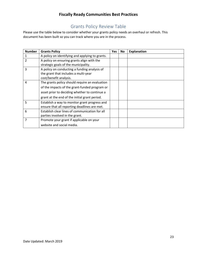# Grants Policy Review Table

<span id="page-22-0"></span>Please use the table below to consider whether your grants policy needs an overhaul or refresh. This document has been built so you can track where you are in the process.

| <b>Number</b>            | <b>Grants Policy</b>                                                                                                                                                                              | <b>Yes</b> | No. | <b>Explanation</b> |
|--------------------------|---------------------------------------------------------------------------------------------------------------------------------------------------------------------------------------------------|------------|-----|--------------------|
| 1                        | A policy on identifying and applying to grants.                                                                                                                                                   |            |     |                    |
| $\overline{\mathcal{L}}$ | A policy on ensuring grants align with the<br>strategic goals of the municipality.                                                                                                                |            |     |                    |
| 3                        | A policy on conducting a funding analysis of<br>the grant that includes a multi-year<br>cost/benefit analysis.                                                                                    |            |     |                    |
| 4                        | The grants policy should require an evaluation<br>of the impacts of the grant-funded program or<br>asset prior to deciding whether to continue a<br>grant at the end of the initial grant period. |            |     |                    |
| 5                        | Establish a way to monitor grant progress and<br>ensure that all reporting deadlines are met.                                                                                                     |            |     |                    |
| 6                        | Establish clear lines of communication for all<br>parties involved in the grant.                                                                                                                  |            |     |                    |
|                          | Promote your grant if applicable on your<br>website and social media.                                                                                                                             |            |     |                    |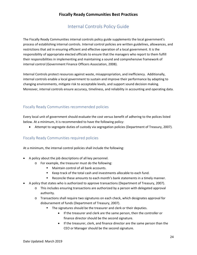# Internal Controls Policy Guide

<span id="page-23-1"></span><span id="page-23-0"></span>The Fiscally Ready Communities internal controls policy guide supplements the local government's process of establishing internal controls. Internal control policies are written guidelines, allowances, and restrictions that aid in ensuring efficient and effective operation of a local government. It is the responsibility of appropriate elected officials to ensure that the managers who report to them fulfill their responsibilities in implementing and maintaining a sound and comprehensive framework of internal control (Government Finance Officers Association, 2008).

Internal Controls protect resources against waste, misappropriation, and inefficiency. Additionally, internal controls enable a local government to sustain and improve their performance by adapting to changing environments, mitigate risk to acceptable levels, and support sound decision making. Moreover, internal controls ensure accuracy, timeliness, and reliability in accounting and operating data.

#### Fiscally Ready Communities recommended policies

Every local unit of government should evaluate the cost versus benefit of adhering to the polices listed below. At a minimum, it is recommended to have the following policy:

• Attempt to segregate duties of custody via segregation policies (Department of Treasury, 2007).

#### Fiscally Ready Communities required policies

At a minimum, the internal control policies shall include the following:

- A policy about the job descriptions of all key personnel.
	- o For example, the treasurer must do the following:
		- Maintain control of all bank accounts.
		- Keep track of the total cash and investments allocable to each fund.
		- **Reconcile these amounts to each month's bank statements in a timely manner.**
- A policy that states who is authorized to approve transactions (Department of Treasury, 2007).
	- o This includes ensuring transactions are authorized by a person with delegated approval authority.
	- o Transactions shall require two signatures on each check, which designates approval for disbursement of funds (Department of Treasury, 2007).
		- The signatures should be the treasurer and clerk or their deputies.
			- If the treasurer and clerk are the same person, then the controller or finance director should be the second signature.
			- If the treasurer, clerk, and finance director are the same person than the CEO or Manager should be the second signature.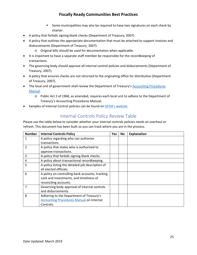- **Some municipalities may also be required to have two signatures on each check by** charter.
- A policy that forbids signing blank checks (Department of Treasury, 2007).
- A policy that outlines the appropriate documentation that must be attached to support invoices and disbursements (Department of Treasury, 2007).
	- o Original bills should be used for documentation when applicable.
- It is important to have a separate staff member be responsible for the recordkeeping of transactions.
- The governing body should approve all internal control policies and disbursements (Department of Treasury, 2007).
- A policy that ensures checks are not returned to the originating office for distribution (Department of Treasury, 2007).
- The local unit of government shall review the Department of Treasury's Accounting Procedures [Manual.](https://www.michigan.gov/documents/treasury/AccountingProceduresManual_202967_7.pdf)
	- o Public Act 2 of 1968, as amended, requires each local unit to adhere to the Department of Treasury's Accounting Procedures Manual.
- <span id="page-24-0"></span>Samples of Internal Control policies can be found o[n GFOA's website.](http://www.gfoa.org/financial-policy-examples-internal-controls-and-risk-management)

### Internal Controls Policy Review Table

Please use the table below to consider whether your internal controls policies needs an overhaul or refresh. This document has been built so you can track where you are in the process.

| <b>Number</b> | <b>Internal Controls Policy</b>                  | <b>Yes</b> | No. | <b>Explanation</b> |
|---------------|--------------------------------------------------|------------|-----|--------------------|
| 1             | A policy regarding who can authorize             |            |     |                    |
|               | transactions.                                    |            |     |                    |
| 2             | A policy that states who is authorized to        |            |     |                    |
|               | approve transactions.                            |            |     |                    |
| 3             | A policy that forbids signing blank checks.      |            |     |                    |
| 4             | A policy about transactional recordkeeping.      |            |     |                    |
| 5             | A policy listing the detailed job description of |            |     |                    |
|               | all elected officials.                           |            |     |                    |
| 6             | A policy on controlling bank accounts, tracking  |            |     |                    |
|               | cash and investments, and timeliness of          |            |     |                    |
|               | reconciling accounts.                            |            |     |                    |
|               | Governing body approval of internal controls     |            |     |                    |
|               | and disbursements.                               |            |     |                    |
| 8             | Adhering to the Department of Treasury's         |            |     |                    |
|               | <b>Accounting Procedures Manual on Internal</b>  |            |     |                    |
|               | Controls.                                        |            |     |                    |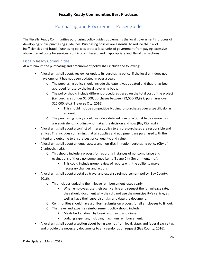## Purchasing and Procurement Policy Guide

<span id="page-25-1"></span><span id="page-25-0"></span>The Fiscally Ready Communities purchasing policy guide supplements the local government's process of developing public purchasing guidelines. Purchasing policies are essential to reduce the risk of inefficiencies and fraud. Purchasing policies protect local units of government from paying excessive above market costs for services, conflicts of interest, and inappropriate and illegal transactions.

#### Fiscally Ready Communities

At a minimum the purchasing and procurement policy shall include the following:

- A local unit shall adopt, review, or update its purchasing policy, if the local unit does not have one, or it has not been updated in over a year.
	- o The purchasing policy should include the date it was updated and that it has been approved for use by the local governing body.
	- o The policy should include different procedures based on the total cost of the project (i.e. purchases under \$2,000; purchases between \$2,000-\$9,999; purchases over \$10,000, etc.) (Traverse City, 2016).
		- This should include competitive bidding for purchases over a specific dollar amount.
	- o The purchasing policy should include a detailed plan of action if two or more bids are equivalent, including who makes the decision and how (Bay City, n.d.).
- A local unit shall adopt a conflict of interest policy to ensure purchases are responsible and ethical. This includes confirming that all supplies and equipment are purchased with the intent and outcome to ensure best price, quality, and value.
- A local unit shall adopt an equal access and non-discrimination purchasing policy (City of Charlevoix, n.d.).
	- o This should include a process for reporting instances of noncompliance and evaluations of those noncompliance items (Boyne City Government, n.d.).
		- **This could include group review of reports with the ability to make** necessary changes and actions.
- A local unit shall adopt a detailed travel and expense reimbursement policy (Bay County, 2016).
	- o This includes updating the mileage reimbursement rates yearly.
		- **When employees use their own vehicle and request the full mileage rate,** they should document why they did not use the municipality's vehicle, as well as have their supervisor sign and date the document.
	- o Communities should have a uniform submission process for all employees to fill out.
	- o The travel and expense reimbursement policy should include:
		- **Meals broken down by breakfast, lunch, and dinner.**
		- **Lodging expenses, including maximum reimbursement.**
- A local unit shall adopt a section about being exempt from local, state, and federal excise tax and provide the necessary documents to any vendor upon request (Bay County, 2016).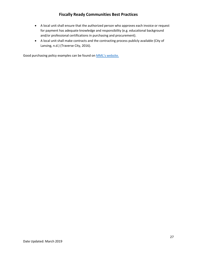- A local unit shall ensure that the authorized person who approves each invoice or request for payment has adequate knowledge and responsibility (e.g. educational background and/or professional certifications in purchasing and procurement).
- A local unit shall make contracts and the contracting process publicly available (City of Lansing, n.d.) (Traverse City, 2016).

Good purchasing policy examples can be found on MML's [website.](http://www.mml.org/resources/sample_docs/policies_evaluations/purchasing_policies.htm)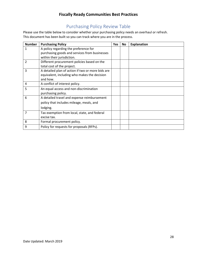# Purchasing Policy Review Table

<span id="page-27-0"></span>Please use the table below to consider whether your purchasing policy needs an overhaul or refresh. This document has been built so you can track where you are in the process.

| <b>Number</b> | <b>Purchasing Policy</b>                          | <b>Yes</b> | No | <b>Explanation</b> |
|---------------|---------------------------------------------------|------------|----|--------------------|
| 1             | A policy regarding the preference for             |            |    |                    |
|               | purchasing goods and services from businesses     |            |    |                    |
|               | within their jurisdiction.                        |            |    |                    |
| 2             | Different procurement policies based on the       |            |    |                    |
|               | total cost of the project.                        |            |    |                    |
| 3             | A detailed plan of action if two or more bids are |            |    |                    |
|               | equivalent, including who makes the decision      |            |    |                    |
|               | and how.                                          |            |    |                    |
| 4             | A conflict of interest policy.                    |            |    |                    |
| 5             | An equal access and non-discrimination            |            |    |                    |
|               | purchasing policy.                                |            |    |                    |
| 6             | A detailed travel and expense reimbursement       |            |    |                    |
|               | policy that includes mileage, meals, and          |            |    |                    |
|               | lodging.                                          |            |    |                    |
| 7             | Tax exemption from local, state, and federal      |            |    |                    |
|               | excise tax.                                       |            |    |                    |
| 8             | Formal procurement policy.                        |            |    |                    |
| 9             | Policy for requests for proposals (RFPs).         |            |    |                    |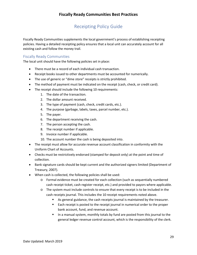# Receipting Policy Guide

<span id="page-28-1"></span><span id="page-28-0"></span>Fiscally Ready Communities supplements the local government's process of establishing receipting policies. Having a detailed receipting policy ensures that a local unit can accurately account for all existing cash and follow the money trail.

#### Fiscally Ready Communities

The local unit should have the following policies set in place:

- There must be a record of each individual cash transaction.
- Receipt books issued to other departments must be accounted for numerically.
- The use of generic or "dime store" receipts is strictly prohibited.
- The method of payment must be indicated on the receipt (cash, check, or credit card).
- The receipt should include the following 10 requirements:
	- 1. The date of the transaction.
	- 2. The dollar amount received.
	- 3. The type of payment (cash, check, credit cards, etc.).
	- 4. The purpose (garbage, labels, taxes, parcel number, etc.).
	- 5. The payer.
	- 6. The department receiving the cash.
	- 7. The person accepting the cash.
	- 8. The receipt number if applicable.
	- 9. Invoice number if applicable.
	- 10. The account number the cash is being deposited into.
- The receipt must allow for accurate revenue account classification in conformity with the Uniform Chart of Accounts.
- Checks must be restrictively endorsed (stamped for deposit only) at the point and time of collection.
- Bank signature cards should be kept current and the authorized signers limited (Department of Treasury, 2007).
- When cash is collected, the following policies shall be used:
	- o Formal evidence must be created for each collection (such as sequentially numbered cash receipt ticket, cash register receipt, etc.) and provided to payors where applicable.
	- o The system must include controls to ensure that every receipt is to be included in the cash receipts journal. This includes the 10 receipt requirements noted above.
		- As general guidance, the cash receipts journal is maintained by the treasurer.
		- **Each receipt is posted to the receipt journal in numerical order to the proper** bank account, fund, and revenue account.
		- In a manual system, monthly totals by fund are posted from this journal to the general ledger revenue control account, which is the responsibility of the clerk.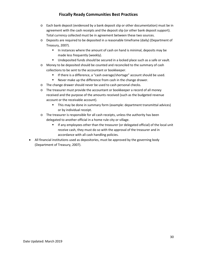- o Each bank deposit (evidenced by a bank deposit slip or other documentation) must be in agreement with the cash receipts and the deposit slip (or other bank deposit support). Total currency collected must be in agreement between these two sources.
- o Deposits are required to be deposited in a reasonable timeframe (daily) (Department of Treasury, 2007).
	- In instances where the amount of cash on hand is minimal, deposits may be made less frequently (weekly).
	- **Undeposited funds should be secured in a locked place such as a safe or vault.**
- o Money to be deposited should be counted and reconciled to the summary of cash collections to be sent to the accountant or bookkeeper.
	- If there is a difference, a "cash overage/shortage" account should be used.
	- Never make up the difference from cash in the change drawer.
- o The change drawer should never be used to cash personal checks.
- o The treasurer must provide the accountant or bookkeeper a record of all money received and the purpose of the amounts received (such as the budgeted revenue account or the receivable account).
	- This may be done in summary form (example: department transmittal advices) or by individual receipt.
- o The treasurer is responsible for all cash receipts, unless the authority has been delegated to another official in a home rule city or village.
	- If any employees other than the treasurer (or delegated official) of the local unit receive cash, they must do so with the approval of the treasurer and in accordance with all cash handling policies.
- All financial institutions used as depositories, must be approved by the governing body (Department of Treasury, 2007).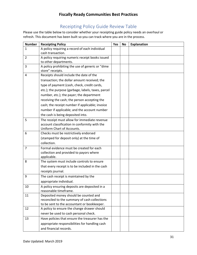# Receipting Policy Guide Review Table

<span id="page-30-0"></span>Please use the table below to consider whether your receipting guide policy needs an overhaul or refresh. This document has been built so you can track where you are in the process.

| <b>Number</b> | <b>Receipting Policy</b>                           | Yes | <b>No</b> | <b>Explanation</b> |
|---------------|----------------------------------------------------|-----|-----------|--------------------|
| $\mathbf{1}$  | A policy requiring a record of each individual     |     |           |                    |
|               | cash transaction.                                  |     |           |                    |
| 2             | A policy requiring numeric receipt books issued    |     |           |                    |
|               | to other departments.                              |     |           |                    |
| 3             | A policy prohibiting the use of generic or "dime   |     |           |                    |
|               | store" receipts.                                   |     |           |                    |
| 4             | Receipts should include the date of the            |     |           |                    |
|               | transaction; the dollar amount received; the       |     |           |                    |
|               | type of payment (cash, check, credit cards,        |     |           |                    |
|               | etc.); the purpose (garbage, labels, taxes, parcel |     |           |                    |
|               | number, etc.); the payer; the department           |     |           |                    |
|               | receiving the cash; the person accepting the       |     |           |                    |
|               | cash; the receipt number if applicable; invoice    |     |           |                    |
|               | number if applicable; and the account number       |     |           |                    |
|               | the cash is being deposited into.                  |     |           |                    |
| 5             | The receipt must allow for immediate revenue       |     |           |                    |
|               | account classification in conformity with the      |     |           |                    |
|               | Uniform Chart of Accounts.                         |     |           |                    |
| 6             | Checks must be restrictively endorsed              |     |           |                    |
|               | (stamped for deposit only) at the time of          |     |           |                    |
|               | collection.                                        |     |           |                    |
| 7             | Formal evidence must be created for each           |     |           |                    |
|               | collection and provided to payors where            |     |           |                    |
|               | applicable.                                        |     |           |                    |
| 8             | The system must include controls to ensure         |     |           |                    |
|               | that every receipt is to be included in the cash   |     |           |                    |
|               | receipts journal.                                  |     |           |                    |
| 9             | The cash receipt is maintained by the              |     |           |                    |
|               | appropriate individual.                            |     |           |                    |
| 10            | A policy ensuring deposits are deposited in a      |     |           |                    |
|               | reasonable timeframe.                              |     |           |                    |
| 11            | Deposited money should be counted and              |     |           |                    |
|               | reconciled to the summary of cash collections      |     |           |                    |
|               | to be sent to the accountant or bookkeeper.        |     |           |                    |
| 12            | A policy to ensure the change drawer should        |     |           |                    |
|               | never be used to cash personal check.              |     |           |                    |
| 13            | Have policies that ensure the treasurer has the    |     |           |                    |
|               | appropriate responsibilities for handling cash     |     |           |                    |
|               | and financial records.                             |     |           |                    |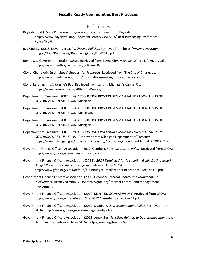### <span id="page-31-0"></span>References

- Bay City. (n.d.). *Local Purchasing Preference Policy*. Retrieved from Bay City: https://www.baycitymi.org/DocumentCenter/View/743/Local-Purchasing-Preference-Policy?bidId=
- Bay County. (2016, November 1). *Purchasing Policies*. Retrieved from https://www.baycountymi.gov/Docs/Purchasing/PurchasingPolicyFinal2016.pdf
- Boyne City Government. (n.d.). *Polices*. Retrieved from Boyne City, Michigan Where Life meets Lake: http://www.cityofboynecity.com/policies-60/
- City of Charlevoix. (n.d.). *Bids & Request for Proposals*. Retrieved from The City of Charlevoix: http://www.cityofcharlevoix.org/information-services/bids-request-proposals.html
- City of Lansing. (n.d.). *How We Buy*. Retrieved from Lansing Michigan's Capital City: https://www.lansingmi.gov/788/How-We-Buy
- Department of Treasury. (2007, July). ACCOUNTING PROCEDURES MANUAL FOR LOCAL UNITS OF GOVERNMENT IN MICHIGAN. Michigan.
- Department of Treasury. (2007, July). ACCOUNTING PROCEDURES MANUAL FOR LOCAL UNITS OF GOVERNMENT IN MICHIGAN. MICHIGAN.
- Department of Treasury. (2007, July). ACCOUNTING PROCEDURES MANUAL FOR LOCAL UNITS OF GOVERNMENT IN MICHIGAN. Michigan.
- Department of Treasury. (2007, July). *ACCOUNTING PROCEDURES MANUAL FOR LOCAL UNITS OF GOVERNMENT IN MICHIGAN .* Retrieved from Michigan Department of Treasury: https://www.michigan.gov/documents/treasury/AccountingProceduresManual\_202967\_7.pdf
- Goverment Finance Officers Association. (2012, October). *Revenue Control Policy*. Retrieved from GFOA: http://www.gfoa.org/revenue-control-policy
- Government Finance Officers Association . (2015). *GFOA Detailed Criteria Location Guide Distinguished Budget Presentation Awards Program .* Retrieved from GFOA: http://www.gfoa.org/sites/default/files/BudgetDetailedCriteriaLocationGuideFY2015.pdf
- Government Finance Officers Association. (2008, October). *Internal Control and Management Involvement*. Retrieved from GFOA: http://gfoa.org/internal-control-and-managementinvolvement
- Government Finance Officers Association. (2010, March 5). *GFOA ADVISORY*. Retrieved from GFOA: http://www.gfoa.org/sites/default/files/GFOA\_usedebtderivativesBP.pdf
- Government Finance Officers Association. (2012, October). *Debt Management Policy*. Retrieved from GFOA: http://www.gfoa.org/debt-management-policy
- Government Finance Officers Association. (2013, June). *Best Practices Related to Debt Management and Debt Issuance*. Retrieved from GFOA: http://kern.org/finance/wp-